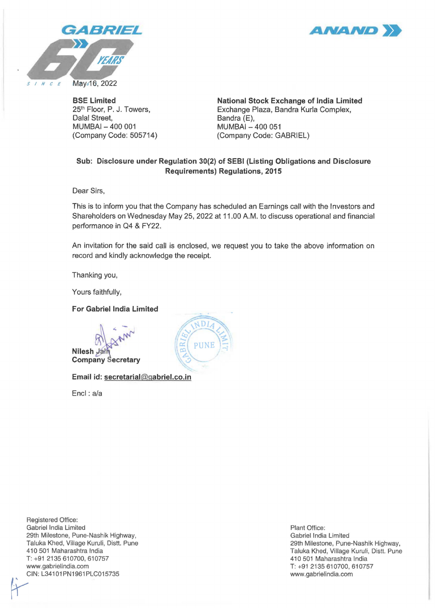



**BSE Limited**  25th Floor, P. J. Towers, Dalal Street, MUMBAI - 400 001 (Company Code: 505714)

**National Stock Exchange of India Limited**  Exchange Plaza, Sandra Kurla Complex, Bandra (E), MUMBAI - 400 051 (Company Code: GABRIEL)

#### **Sub: Disclosure under Regulation 30(2) of SEBI (Listing Obligations and Disclosure Requirements) Regulations, 2015**

Dear Sirs,

This is to inform you that the Company has scheduled an Earnings call with the Investors and Shareholders on Wednesday May 25, 2022 at 11.00 A.M. to discuss operational and financial performance in Q4 & FY22.

An invitation for the said call is enclosed, we request you to take the above information on record and kindly acknowledge the receipt.

Thanking you,

Yours faithfully,

#### **For Gabriel India Limited**

Nilesh Jar **Company Secretary** 

**Email** id: **secretarial@gabriel.co.in** 

Encl: a/a

ADI **PUNE** 

Registered Office: Gabriel India Limited 29th Milestone, Pune-Nashik Highway, Taluka Khed, Village Kuruli, Distt. Pune 410 501 Maharashtra India T: +91 2135 610700, 610757 www.gabrielindia.com CIN:L34101PN1961PLC015735

 $\top$ 

Plant Office: Gabriel India Limited 29th Milestone, Pune-Nashik Highway, Taluka Khed, Village Kuruli, Distt. Pune 410 501 Maharashtra India T: +91 2135 610700, 610757 www.gabrielindia.com